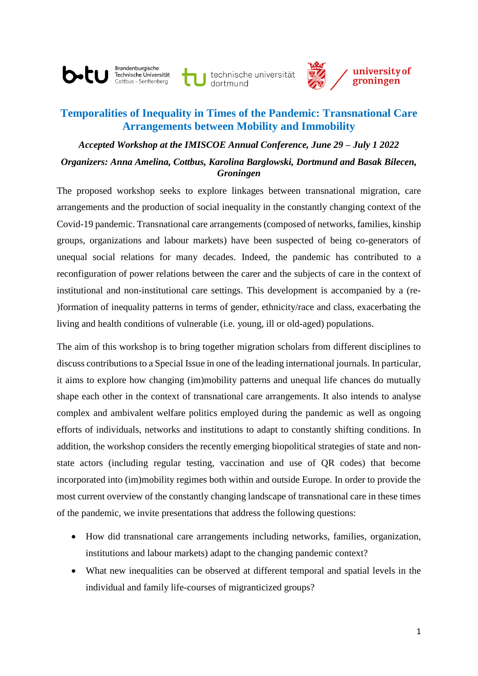Brandenburgische Technische Universität ottbus - Senftenberg

b.tu

technische universität



# **Temporalities of Inequality in Times of the Pandemic: Transnational Care Arrangements between Mobility and Immobility**

# *Accepted Workshop at the IMISCOE Annual Conference, June 29 – July 1 2022 Organizers: Anna Amelina, Cottbus, Karolina Barglowski, Dortmund and Basak Bilecen, Groningen*

The proposed workshop seeks to explore linkages between transnational migration, care arrangements and the production of social inequality in the constantly changing context of the Covid-19 pandemic. Transnational care arrangements (composed of networks, families, kinship groups, organizations and labour markets) have been suspected of being co-generators of unequal social relations for many decades. Indeed, the pandemic has contributed to a reconfiguration of power relations between the carer and the subjects of care in the context of institutional and non-institutional care settings. This development is accompanied by a (re- )formation of inequality patterns in terms of gender, ethnicity/race and class, exacerbating the living and health conditions of vulnerable (i.e. young, ill or old-aged) populations.

The aim of this workshop is to bring together migration scholars from different disciplines to discuss contributions to a Special Issue in one of the leading international journals. In particular, it aims to explore how changing (im)mobility patterns and unequal life chances do mutually shape each other in the context of transnational care arrangements. It also intends to analyse complex and ambivalent welfare politics employed during the pandemic as well as ongoing efforts of individuals, networks and institutions to adapt to constantly shifting conditions. In addition, the workshop considers the recently emerging biopolitical strategies of state and nonstate actors (including regular testing, vaccination and use of QR codes) that become incorporated into (im)mobility regimes both within and outside Europe. In order to provide the most current overview of the constantly changing landscape of transnational care in these times of the pandemic, we invite presentations that address the following questions:

- How did transnational care arrangements including networks, families, organization, institutions and labour markets) adapt to the changing pandemic context?
- What new inequalities can be observed at different temporal and spatial levels in the individual and family life-courses of migranticized groups?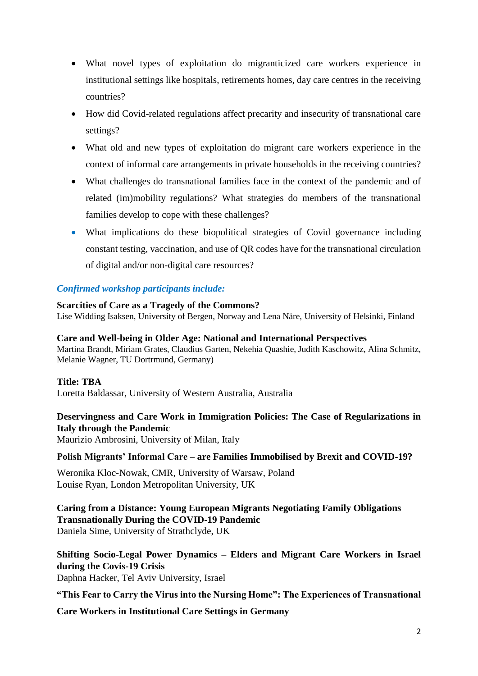- What novel types of exploitation do migranticized care workers experience in institutional settings like hospitals, retirements homes, day care centres in the receiving countries?
- How did Covid-related regulations affect precarity and insecurity of transnational care settings?
- What old and new types of exploitation do migrant care workers experience in the context of informal care arrangements in private households in the receiving countries?
- What challenges do transnational families face in the context of the pandemic and of related (im)mobility regulations? What strategies do members of the transnational families develop to cope with these challenges?
- What implications do these biopolitical strategies of Covid governance including constant testing, vaccination, and use of QR codes have for the transnational circulation of digital and/or non-digital care resources?

# *Confirmed workshop participants include:*

**Scarcities of Care as a Tragedy of the Commons?** Lise Widding Isaksen, University of Bergen, Norway and Lena Näre, University of Helsinki, Finland

#### **Care and Well-being in Older Age: National and International Perspectives**

Martina Brandt, Miriam Grates, Claudius Garten, Nekehia Quashie, Judith Kaschowitz, Alina Schmitz, Melanie Wagner, TU Dortrmund, Germany)

#### **Title: TBA**

Loretta Baldassar, University of Western Australia, Australia

# **Deservingness and Care Work in Immigration Policies: The Case of Regularizations in Italy through the Pandemic**

Maurizio Ambrosini, University of Milan, Italy

### **Polish Migrants' Informal Care – are Families Immobilised by Brexit and COVID-19?**

Weronika Kloc-Nowak, CMR, University of Warsaw, Poland Louise Ryan, London Metropolitan University, UK

**Caring from a Distance: Young European Migrants Negotiating Family Obligations Transnationally During the COVID-19 Pandemic** Daniela Sime, University of Strathclyde, UK

**Shifting Socio-Legal Power Dynamics – Elders and Migrant Care Workers in Israel during the Covis-19 Crisis** 

Daphna Hacker, Tel Aviv University, Israel

**"This Fear to Carry the Virus into the Nursing Home": The Experiences of Transnational** 

**Care Workers in Institutional Care Settings in Germany**